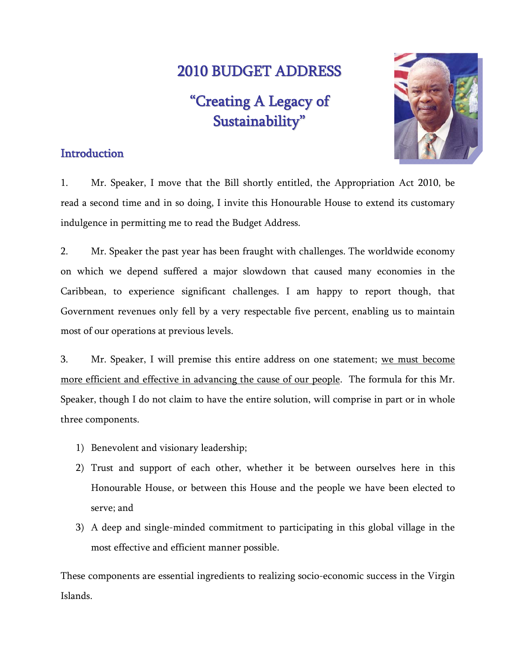# 2010 BUDGET ADDRESS

"Creating A Legacy of Sustainability "



# **Introduction**

1. Mr. Speaker, I move that the Bill shortly entitled, the Appropriation Act 2010, be read a second time and in so doing, I invite this Honourable House to extend its customary indulgence in permitting me to read the Budget Address.

2. Mr. Speaker the past year has been fraught with challenges. The worldwide economy on which we depend suffered a major slowdown that caused many economies in the Caribbean, to experience significant challenges. I am happy to report though, that Government revenues only fell by a very respectable five percent, enabling us to maintain most of our operations at previous levels.

3. Mr. Speaker, I will premise this entire address on one statement; we must become more efficient and effective in advancing the cause of our people. The formula for this Mr. Speaker, though I do not claim to have the entire solution, will comprise in part or in whole three components.

- 1) Benevolent and visionary leadership;
- 2) Trust and support of each other, whether it be between ourselves here in this Honourable House, or between this House and the people we have been elected to serve; and
- 3) A deep and single-minded commitment to participating in this global village in the most effective and efficient manner possible.

These components are essential ingredients to realizing socio-economic success in the Virgin Islands.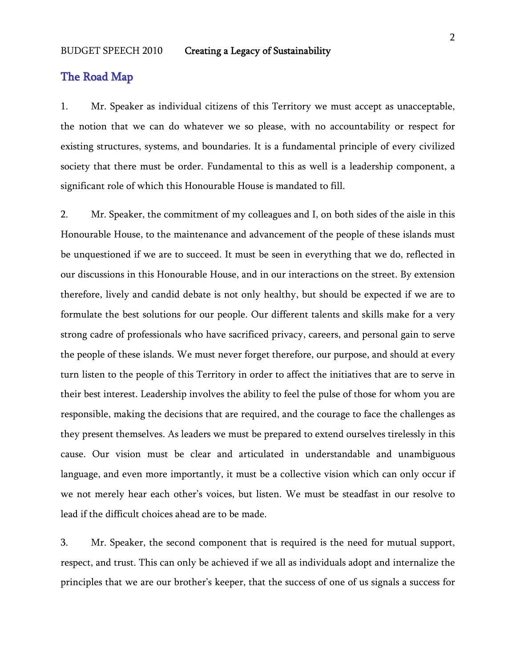# The Road Map

1. Mr. Speaker as individual citizens of this Territory we must accept as unacceptable, the notion that we can do whatever we so please, with no accountability or respect for existing structures, systems, and boundaries. It is a fundamental principle of every civilized society that there must be order. Fundamental to this as well is a leadership component, a significant role of which this Honourable House is mandated to fill.

2. Mr. Speaker, the commitment of my colleagues and I, on both sides of the aisle in this Honourable House, to the maintenance and advancement of the people of these islands must be unquestioned if we are to succeed. It must be seen in everything that we do, reflected in our discussions in this Honourable House, and in our interactions on the street. By extension therefore, lively and candid debate is not only healthy, but should be expected if we are to formulate the best solutions for our people. Our different talents and skills make for a very strong cadre of professionals who have sacrificed privacy, careers, and personal gain to serve the people of these islands. We must never forget therefore, our purpose, and should at every turn listen to the people of this Territory in order to affect the initiatives that are to serve in their best interest. Leadership involves the ability to feel the pulse of those for whom you are responsible, making the decisions that are required, and the courage to face the challenges as they present themselves. As leaders we must be prepared to extend ourselves tirelessly in this cause. Our vision must be clear and articulated in understandable and unambiguous language, and even more importantly, it must be a collective vision which can only occur if we not merely hear each other's voices, but listen. We must be steadfast in our resolve to lead if the difficult choices ahead are to be made.

3. Mr. Speaker, the second component that is required is the need for mutual support, respect, and trust. This can only be achieved if we all as individuals adopt and internalize the principles that we are our brother's keeper, that the success of one of us signals a success for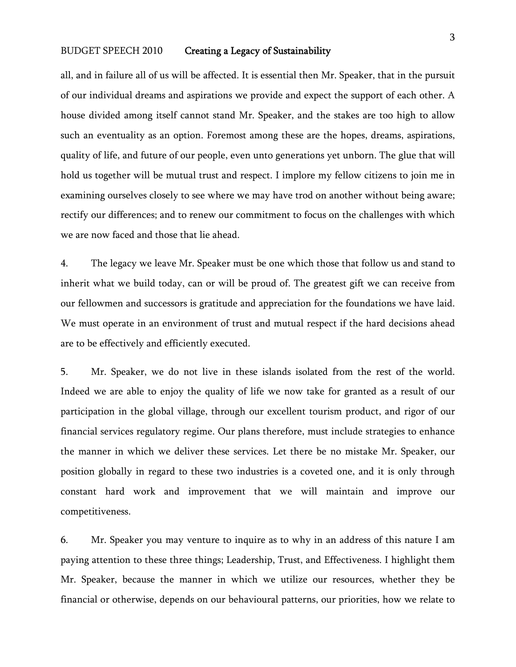all, and in failure all of us will be affected. It is essential then Mr. Speaker, that in the pursuit of our individual dreams and aspirations we provide and expect the support of each other. A house divided among itself cannot stand Mr. Speaker, and the stakes are too high to allow such an eventuality as an option. Foremost among these are the hopes, dreams, aspirations, quality of life, and future of our people, even unto generations yet unborn. The glue that will hold us together will be mutual trust and respect. I implore my fellow citizens to join me in examining ourselves closely to see where we may have trod on another without being aware; rectify our differences; and to renew our commitment to focus on the challenges with which we are now faced and those that lie ahead.

4. The legacy we leave Mr. Speaker must be one which those that follow us and stand to inherit what we build today, can or will be proud of. The greatest gift we can receive from our fellowmen and successors is gratitude and appreciation for the foundations we have laid. We must operate in an environment of trust and mutual respect if the hard decisions ahead are to be effectively and efficiently executed.

5. Mr. Speaker, we do not live in these islands isolated from the rest of the world. Indeed we are able to enjoy the quality of life we now take for granted as a result of our participation in the global village, through our excellent tourism product, and rigor of our financial services regulatory regime. Our plans therefore, must include strategies to enhance the manner in which we deliver these services. Let there be no mistake Mr. Speaker, our position globally in regard to these two industries is a coveted one, and it is only through constant hard work and improvement that we will maintain and improve our competitiveness.

6. Mr. Speaker you may venture to inquire as to why in an address of this nature I am paying attention to these three things; Leadership, Trust, and Effectiveness. I highlight them Mr. Speaker, because the manner in which we utilize our resources, whether they be financial or otherwise, depends on our behavioural patterns, our priorities, how we relate to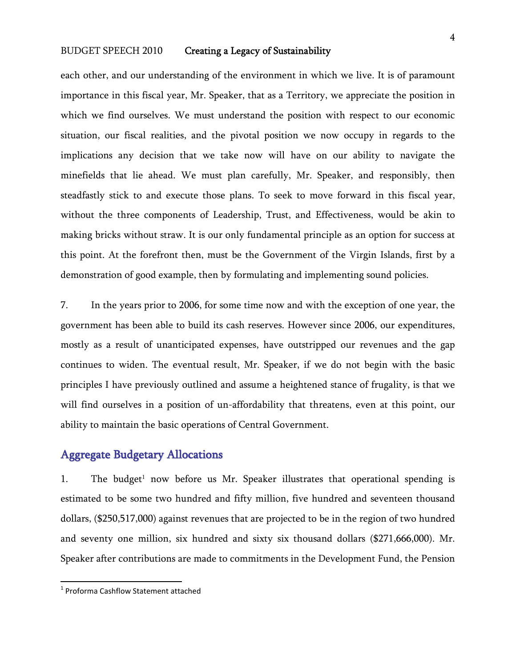each other, and our understanding of the environment in which we live. It is of paramount importance in this fiscal year, Mr. Speaker, that as a Territory, we appreciate the position in which we find ourselves. We must understand the position with respect to our economic situation, our fiscal realities, and the pivotal position we now occupy in regards to the implications any decision that we take now will have on our ability to navigate the minefields that lie ahead. We must plan carefully, Mr. Speaker, and responsibly, then steadfastly stick to and execute those plans. To seek to move forward in this fiscal year, without the three components of Leadership, Trust, and Effectiveness, would be akin to making bricks without straw. It is our only fundamental principle as an option for success at this point. At the forefront then, must be the Government of the Virgin Islands, first by a demonstration of good example, then by formulating and implementing sound policies.

7. In the years prior to 2006, for some time now and with the exception of one year, the government has been able to build its cash reserves. However since 2006, our expenditures, mostly as a result of unanticipated expenses, have outstripped our revenues and the gap continues to widen. The eventual result, Mr. Speaker, if we do not begin with the basic principles I have previously outlined and assume a heightened stance of frugality, is that we will find ourselves in a position of un-affordability that threatens, even at this point, our ability to maintain the basic operations of Central Government.

# Aggregate Budgetary Allocations

1. The budget<sup>1</sup> now before us Mr. Speaker illustrates that operational spending is estimated to be some two hundred and fifty million, five hundred and seventeen thousand dollars, (\$250,517,000) against revenues that are projected to be in the region of two hundred and seventy one million, six hundred and sixty six thousand dollars (\$271,666,000). Mr. Speaker after contributions are made to commitments in the Development Fund, the Pension

<sup>&</sup>lt;sup>1</sup> Proforma Cashflow Statement attached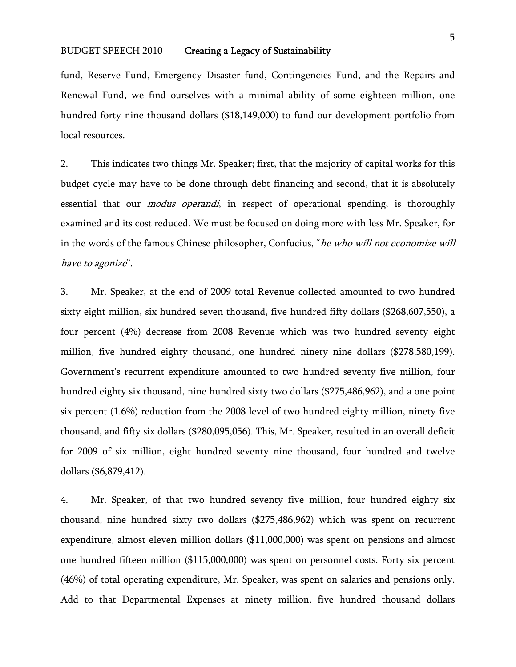fund, Reserve Fund, Emergency Disaster fund, Contingencies Fund, and the Repairs and Renewal Fund, we find ourselves with a minimal ability of some eighteen million, one hundred forty nine thousand dollars (\$18,149,000) to fund our development portfolio from local resources.

2. This indicates two things Mr. Speaker; first, that the majority of capital works for this budget cycle may have to be done through debt financing and second, that it is absolutely essential that our *modus operandi*, in respect of operational spending, is thoroughly examined and its cost reduced. We must be focused on doing more with less Mr. Speaker, for in the words of the famous Chinese philosopher, Confucius, "he who will not economize will have to agonize".

3. Mr. Speaker, at the end of 2009 total Revenue collected amounted to two hundred sixty eight million, six hundred seven thousand, five hundred fifty dollars (\$268,607,550), a four percent (4%) decrease from 2008 Revenue which was two hundred seventy eight million, five hundred eighty thousand, one hundred ninety nine dollars (\$278,580,199). Government's recurrent expenditure amounted to two hundred seventy five million, four hundred eighty six thousand, nine hundred sixty two dollars (\$275,486,962), and a one point six percent (1.6%) reduction from the 2008 level of two hundred eighty million, ninety five thousand, and fifty six dollars (\$280,095,056). This, Mr. Speaker, resulted in an overall deficit for 2009 of six million, eight hundred seventy nine thousand, four hundred and twelve dollars (\$6,879,412).

4. Mr. Speaker, of that two hundred seventy five million, four hundred eighty six thousand, nine hundred sixty two dollars (\$275,486,962) which was spent on recurrent expenditure, almost eleven million dollars (\$11,000,000) was spent on pensions and almost one hundred fifteen million (\$115,000,000) was spent on personnel costs. Forty six percent (46%) of total operating expenditure, Mr. Speaker, was spent on salaries and pensions only. Add to that Departmental Expenses at ninety million, five hundred thousand dollars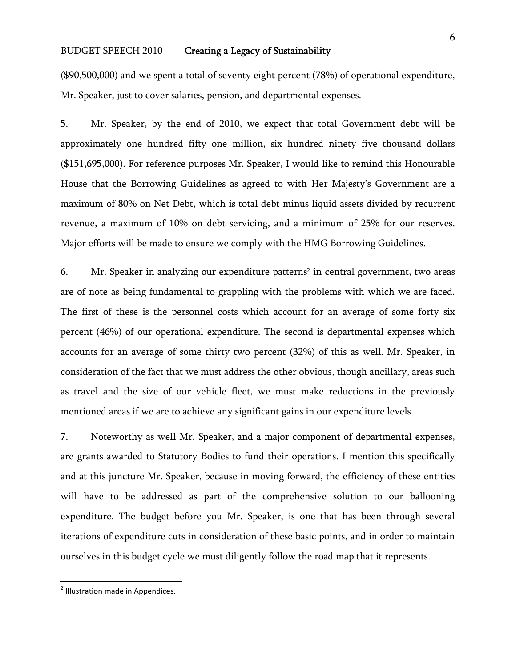(\$90,500,000) and we spent a total of seventy eight percent (78%) of operational expenditure, Mr. Speaker, just to cover salaries, pension, and departmental expenses.

5. Mr. Speaker, by the end of 2010, we expect that total Government debt will be approximately one hundred fifty one million, six hundred ninety five thousand dollars (\$151,695,000). For reference purposes Mr. Speaker, I would like to remind this Honourable House that the Borrowing Guidelines as agreed to with Her Majesty's Government are a maximum of 80% on Net Debt, which is total debt minus liquid assets divided by recurrent revenue, a maximum of 10% on debt servicing, and a minimum of 25% for our reserves. Major efforts will be made to ensure we comply with the HMG Borrowing Guidelines.

6. Mr. Speaker in analyzing our expenditure patterns<sup>2</sup> in central government, two areas are of note as being fundamental to grappling with the problems with which we are faced. The first of these is the personnel costs which account for an average of some forty six percent (46%) of our operational expenditure. The second is departmental expenses which accounts for an average of some thirty two percent (32%) of this as well. Mr. Speaker, in consideration of the fact that we must address the other obvious, though ancillary, areas such as travel and the size of our vehicle fleet, we must make reductions in the previously mentioned areas if we are to achieve any significant gains in our expenditure levels.

7. Noteworthy as well Mr. Speaker, and a major component of departmental expenses, are grants awarded to Statutory Bodies to fund their operations. I mention this specifically and at this juncture Mr. Speaker, because in moving forward, the efficiency of these entities will have to be addressed as part of the comprehensive solution to our ballooning expenditure. The budget before you Mr. Speaker, is one that has been through several iterations of expenditure cuts in consideration of these basic points, and in order to maintain ourselves in this budget cycle we must diligently follow the road map that it represents.

 <sup>2</sup> Illustration made in Appendices.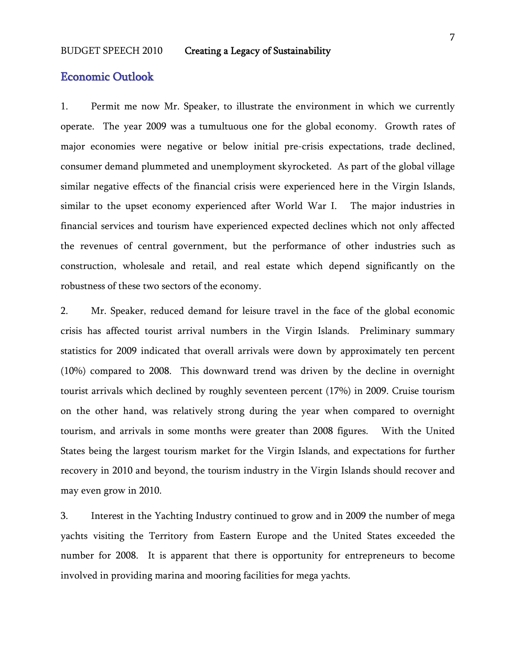#### Economic Outlook

1. Permit me now Mr. Speaker, to illustrate the environment in which we currently operate. The year 2009 was a tumultuous one for the global economy. Growth rates of major economies were negative or below initial pre-crisis expectations, trade declined, consumer demand plummeted and unemployment skyrocketed. As part of the global village similar negative effects of the financial crisis were experienced here in the Virgin Islands, similar to the upset economy experienced after World War I. The major industries in financial services and tourism have experienced expected declines which not only affected the revenues of central government, but the performance of other industries such as construction, wholesale and retail, and real estate which depend significantly on the robustness of these two sectors of the economy.

2. Mr. Speaker, reduced demand for leisure travel in the face of the global economic crisis has affected tourist arrival numbers in the Virgin Islands. Preliminary summary statistics for 2009 indicated that overall arrivals were down by approximately ten percent (10%) compared to 2008. This downward trend was driven by the decline in overnight tourist arrivals which declined by roughly seventeen percent (17%) in 2009. Cruise tourism on the other hand, was relatively strong during the year when compared to overnight tourism, and arrivals in some months were greater than 2008 figures. With the United States being the largest tourism market for the Virgin Islands, and expectations for further recovery in 2010 and beyond, the tourism industry in the Virgin Islands should recover and may even grow in 2010.

3. Interest in the Yachting Industry continued to grow and in 2009 the number of mega yachts visiting the Territory from Eastern Europe and the United States exceeded the number for 2008. It is apparent that there is opportunity for entrepreneurs to become involved in providing marina and mooring facilities for mega yachts.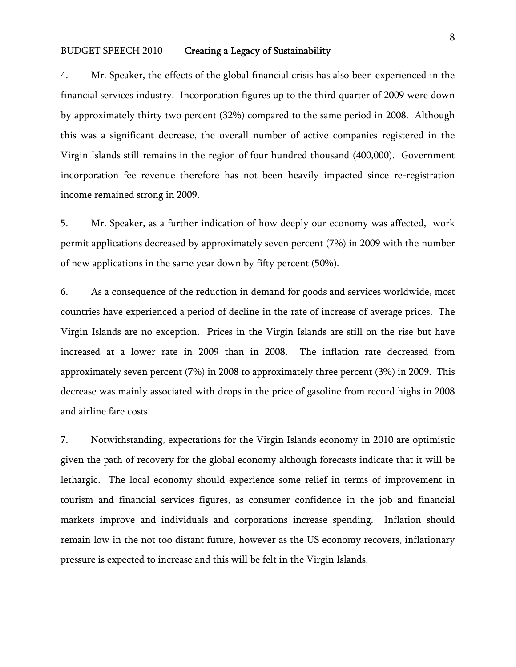4. Mr. Speaker, the effects of the global financial crisis has also been experienced in the financial services industry. Incorporation figures up to the third quarter of 2009 were down by approximately thirty two percent (32%) compared to the same period in 2008. Although this was a significant decrease, the overall number of active companies registered in the Virgin Islands still remains in the region of four hundred thousand (400,000). Government incorporation fee revenue therefore has not been heavily impacted since re-registration income remained strong in 2009.

5. Mr. Speaker, as a further indication of how deeply our economy was affected, work permit applications decreased by approximately seven percent (7%) in 2009 with the number of new applications in the same year down by fifty percent (50%).

6. As a consequence of the reduction in demand for goods and services worldwide, most countries have experienced a period of decline in the rate of increase of average prices. The Virgin Islands are no exception. Prices in the Virgin Islands are still on the rise but have increased at a lower rate in 2009 than in 2008. The inflation rate decreased from approximately seven percent (7%) in 2008 to approximately three percent (3%) in 2009. This decrease was mainly associated with drops in the price of gasoline from record highs in 2008 and airline fare costs.

7. Notwithstanding, expectations for the Virgin Islands economy in 2010 are optimistic given the path of recovery for the global economy although forecasts indicate that it will be lethargic. The local economy should experience some relief in terms of improvement in tourism and financial services figures, as consumer confidence in the job and financial markets improve and individuals and corporations increase spending. Inflation should remain low in the not too distant future, however as the US economy recovers, inflationary pressure is expected to increase and this will be felt in the Virgin Islands.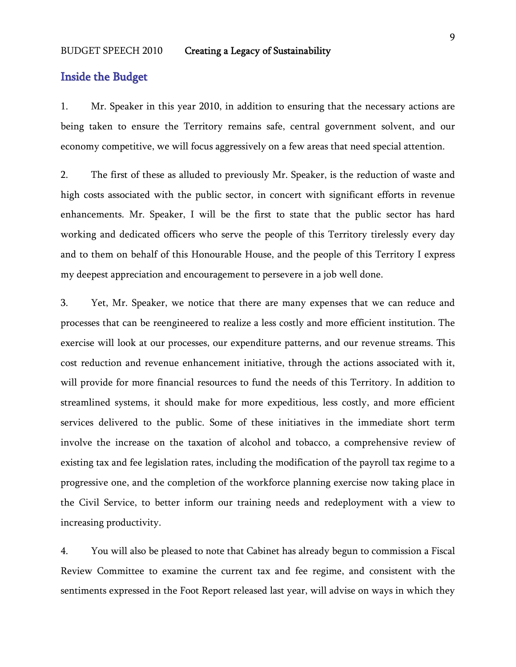### Inside the Budget

1. Mr. Speaker in this year 2010, in addition to ensuring that the necessary actions are being taken to ensure the Territory remains safe, central government solvent, and our economy competitive, we will focus aggressively on a few areas that need special attention.

2. The first of these as alluded to previously Mr. Speaker, is the reduction of waste and high costs associated with the public sector, in concert with significant efforts in revenue enhancements. Mr. Speaker, I will be the first to state that the public sector has hard working and dedicated officers who serve the people of this Territory tirelessly every day and to them on behalf of this Honourable House, and the people of this Territory I express my deepest appreciation and encouragement to persevere in a job well done.

3. Yet, Mr. Speaker, we notice that there are many expenses that we can reduce and processes that can be reengineered to realize a less costly and more efficient institution. The exercise will look at our processes, our expenditure patterns, and our revenue streams. This cost reduction and revenue enhancement initiative, through the actions associated with it, will provide for more financial resources to fund the needs of this Territory. In addition to streamlined systems, it should make for more expeditious, less costly, and more efficient services delivered to the public. Some of these initiatives in the immediate short term involve the increase on the taxation of alcohol and tobacco, a comprehensive review of existing tax and fee legislation rates, including the modification of the payroll tax regime to a progressive one, and the completion of the workforce planning exercise now taking place in the Civil Service, to better inform our training needs and redeployment with a view to increasing productivity.

4. You will also be pleased to note that Cabinet has already begun to commission a Fiscal Review Committee to examine the current tax and fee regime, and consistent with the sentiments expressed in the Foot Report released last year, will advise on ways in which they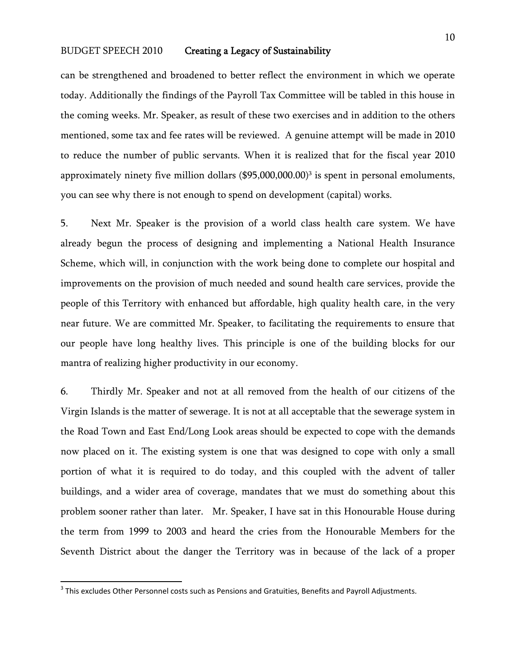can be strengthened and broadened to better reflect the environment in which we operate today. Additionally the findings of the Payroll Tax Committee will be tabled in this house in the coming weeks. Mr. Speaker, as result of these two exercises and in addition to the others mentioned, some tax and fee rates will be reviewed. A genuine attempt will be made in 2010 to reduce the number of public servants. When it is realized that for the fiscal year 2010 approximately ninety five million dollars  $(\$95,000,000.00)^3$  is spent in personal emoluments, you can see why there is not enough to spend on development (capital) works.

5. Next Mr. Speaker is the provision of a world class health care system. We have already begun the process of designing and implementing a National Health Insurance Scheme, which will, in conjunction with the work being done to complete our hospital and improvements on the provision of much needed and sound health care services, provide the people of this Territory with enhanced but affordable, high quality health care, in the very near future. We are committed Mr. Speaker, to facilitating the requirements to ensure that our people have long healthy lives. This principle is one of the building blocks for our mantra of realizing higher productivity in our economy.

6. Thirdly Mr. Speaker and not at all removed from the health of our citizens of the Virgin Islands is the matter of sewerage. It is not at all acceptable that the sewerage system in the Road Town and East End/Long Look areas should be expected to cope with the demands now placed on it. The existing system is one that was designed to cope with only a small portion of what it is required to do today, and this coupled with the advent of taller buildings, and a wider area of coverage, mandates that we must do something about this problem sooner rather than later. Mr. Speaker, I have sat in this Honourable House during the term from 1999 to 2003 and heard the cries from the Honourable Members for the Seventh District about the danger the Territory was in because of the lack of a proper

 $3$  This excludes Other Personnel costs such as Pensions and Gratuities, Benefits and Payroll Adjustments.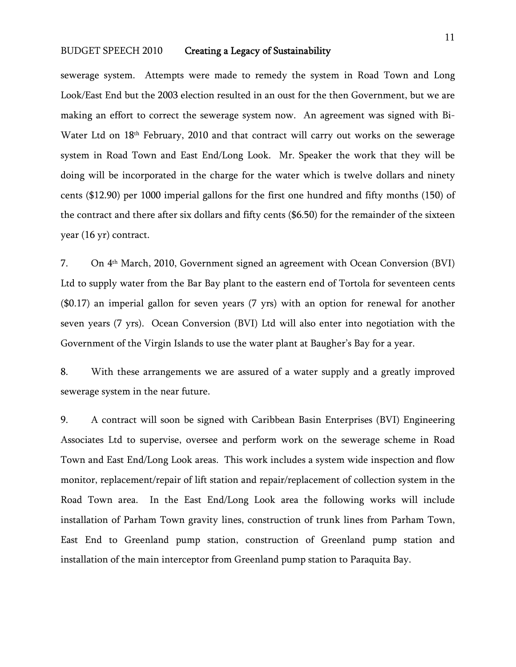sewerage system. Attempts were made to remedy the system in Road Town and Long Look/East End but the 2003 election resulted in an oust for the then Government, but we are making an effort to correct the sewerage system now. An agreement was signed with Bi-Water Ltd on 18<sup>th</sup> February, 2010 and that contract will carry out works on the sewerage system in Road Town and East End/Long Look. Mr. Speaker the work that they will be doing will be incorporated in the charge for the water which is twelve dollars and ninety cents (\$12.90) per 1000 imperial gallons for the first one hundred and fifty months (150) of the contract and there after six dollars and fifty cents (\$6.50) for the remainder of the sixteen year (16 yr) contract.

7. On 4th March, 2010, Government signed an agreement with Ocean Conversion (BVI) Ltd to supply water from the Bar Bay plant to the eastern end of Tortola for seventeen cents (\$0.17) an imperial gallon for seven years (7 yrs) with an option for renewal for another seven years (7 yrs). Ocean Conversion (BVI) Ltd will also enter into negotiation with the Government of the Virgin Islands to use the water plant at Baugher's Bay for a year.

8. With these arrangements we are assured of a water supply and a greatly improved sewerage system in the near future.

9. A contract will soon be signed with Caribbean Basin Enterprises (BVI) Engineering Associates Ltd to supervise, oversee and perform work on the sewerage scheme in Road Town and East End/Long Look areas. This work includes a system wide inspection and flow monitor, replacement/repair of lift station and repair/replacement of collection system in the Road Town area. In the East End/Long Look area the following works will include installation of Parham Town gravity lines, construction of trunk lines from Parham Town, East End to Greenland pump station, construction of Greenland pump station and installation of the main interceptor from Greenland pump station to Paraquita Bay.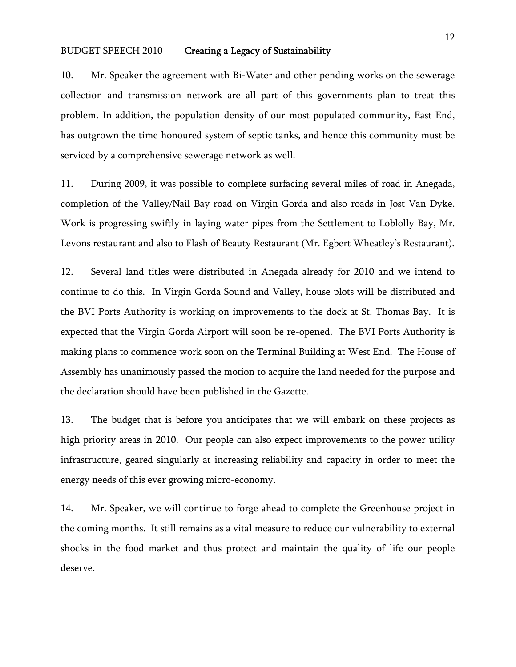10. Mr. Speaker the agreement with Bi-Water and other pending works on the sewerage collection and transmission network are all part of this governments plan to treat this problem. In addition, the population density of our most populated community, East End, has outgrown the time honoured system of septic tanks, and hence this community must be serviced by a comprehensive sewerage network as well.

11. During 2009, it was possible to complete surfacing several miles of road in Anegada, completion of the Valley/Nail Bay road on Virgin Gorda and also roads in Jost Van Dyke. Work is progressing swiftly in laying water pipes from the Settlement to Loblolly Bay, Mr. Levons restaurant and also to Flash of Beauty Restaurant (Mr. Egbert Wheatley's Restaurant).

12. Several land titles were distributed in Anegada already for 2010 and we intend to continue to do this. In Virgin Gorda Sound and Valley, house plots will be distributed and the BVI Ports Authority is working on improvements to the dock at St. Thomas Bay. It is expected that the Virgin Gorda Airport will soon be re-opened. The BVI Ports Authority is making plans to commence work soon on the Terminal Building at West End. The House of Assembly has unanimously passed the motion to acquire the land needed for the purpose and the declaration should have been published in the Gazette.

13. The budget that is before you anticipates that we will embark on these projects as high priority areas in 2010. Our people can also expect improvements to the power utility infrastructure, geared singularly at increasing reliability and capacity in order to meet the energy needs of this ever growing micro-economy.

14. Mr. Speaker, we will continue to forge ahead to complete the Greenhouse project in the coming months. It still remains as a vital measure to reduce our vulnerability to external shocks in the food market and thus protect and maintain the quality of life our people deserve.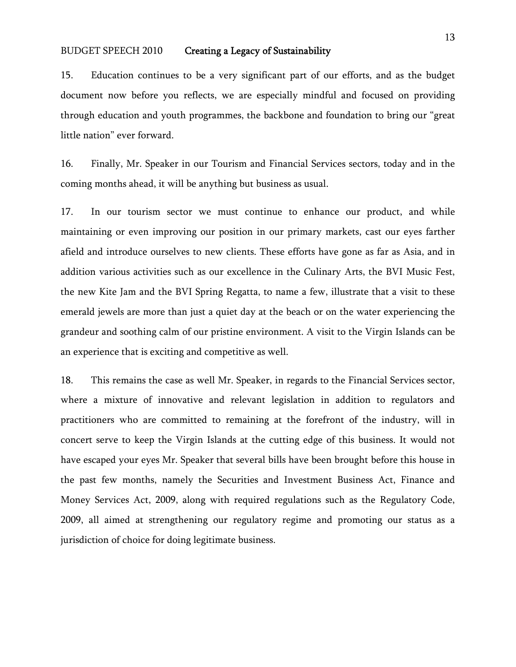15. Education continues to be a very significant part of our efforts, and as the budget document now before you reflects, we are especially mindful and focused on providing through education and youth programmes, the backbone and foundation to bring our "great little nation" ever forward.

16. Finally, Mr. Speaker in our Tourism and Financial Services sectors, today and in the coming months ahead, it will be anything but business as usual.

17. In our tourism sector we must continue to enhance our product, and while maintaining or even improving our position in our primary markets, cast our eyes farther afield and introduce ourselves to new clients. These efforts have gone as far as Asia, and in addition various activities such as our excellence in the Culinary Arts, the BVI Music Fest, the new Kite Jam and the BVI Spring Regatta, to name a few, illustrate that a visit to these emerald jewels are more than just a quiet day at the beach or on the water experiencing the grandeur and soothing calm of our pristine environment. A visit to the Virgin Islands can be an experience that is exciting and competitive as well.

18. This remains the case as well Mr. Speaker, in regards to the Financial Services sector, where a mixture of innovative and relevant legislation in addition to regulators and practitioners who are committed to remaining at the forefront of the industry, will in concert serve to keep the Virgin Islands at the cutting edge of this business. It would not have escaped your eyes Mr. Speaker that several bills have been brought before this house in the past few months, namely the Securities and Investment Business Act, Finance and Money Services Act, 2009, along with required regulations such as the Regulatory Code, 2009, all aimed at strengthening our regulatory regime and promoting our status as a jurisdiction of choice for doing legitimate business.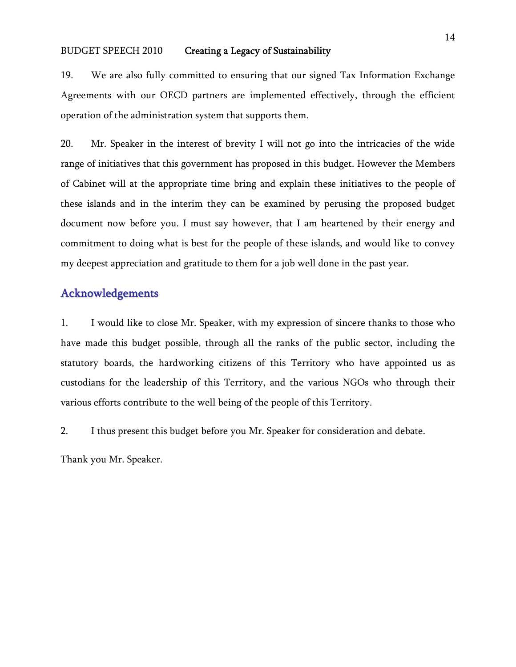19. We are also fully committed to ensuring that our signed Tax Information Exchange Agreements with our OECD partners are implemented effectively, through the efficient operation of the administration system that supports them.

20. Mr. Speaker in the interest of brevity I will not go into the intricacies of the wide range of initiatives that this government has proposed in this budget. However the Members of Cabinet will at the appropriate time bring and explain these initiatives to the people of these islands and in the interim they can be examined by perusing the proposed budget document now before you. I must say however, that I am heartened by their energy and commitment to doing what is best for the people of these islands, and would like to convey my deepest appreciation and gratitude to them for a job well done in the past year.

# Acknowledgements

1. I would like to close Mr. Speaker, with my expression of sincere thanks to those who have made this budget possible, through all the ranks of the public sector, including the statutory boards, the hardworking citizens of this Territory who have appointed us as custodians for the leadership of this Territory, and the various NGOs who through their various efforts contribute to the well being of the people of this Territory.

2. I thus present this budget before you Mr. Speaker for consideration and debate.

Thank you Mr. Speaker.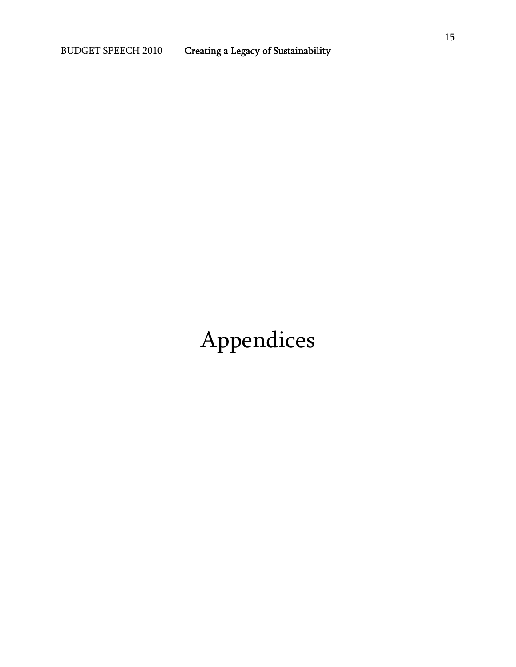# Appendices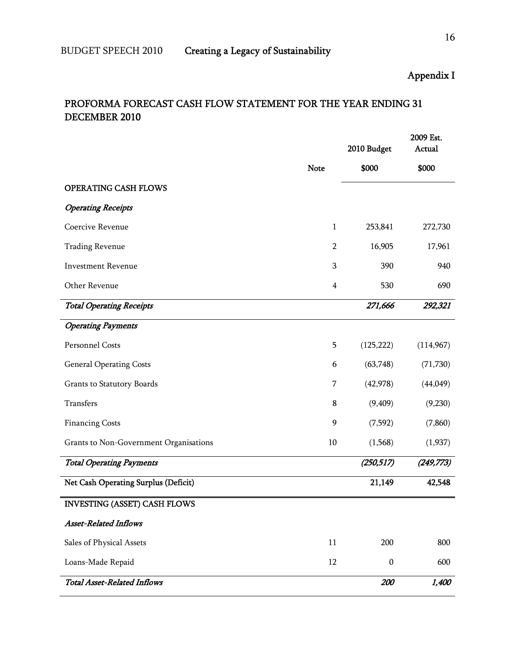# Appendix I

# PROFORMA FORECAST CASH FLOW STATEMENT FOR THE YEAR ENDING 31 DECEMBER 2010

|                                        |                         | 2010 Budget      | 2009 Est.<br>Actual |
|----------------------------------------|-------------------------|------------------|---------------------|
|                                        | <b>Note</b>             | \$000            | \$000               |
| OPERATING CASH FLOWS                   |                         |                  |                     |
| <b>Operating Receipts</b>              |                         |                  |                     |
| Coercive Revenue                       | $\mathbf{1}$            | 253,841          | 272,730             |
| <b>Trading Revenue</b>                 | $\overline{2}$          | 16,905           | 17,961              |
| <b>Investment Revenue</b>              | 3                       | 390              | 940                 |
| Other Revenue                          | $\overline{\mathbf{4}}$ | 530              | 690                 |
| <b>Total Operating Receipts</b>        |                         | 271,666          | 292,321             |
| <b>Operating Payments</b>              |                         |                  |                     |
| Personnel Costs                        | 5                       | (125, 222)       | (114,967)           |
| <b>General Operating Costs</b>         | 6                       | (63,748)         | (71, 730)           |
| Grants to Statutory Boards             | 7                       | (42, 978)        | (44, 049)           |
| Transfers                              | 8                       | (9, 409)         | (9,230)             |
| <b>Financing Costs</b>                 | 9                       | (7,592)          | (7, 860)            |
| Grants to Non-Government Organisations | 10                      | (1,568)          | (1,937)             |
| <b>Total Operating Payments</b>        |                         | (250, 517)       | (249, 773)          |
| Net Cash Operating Surplus (Deficit)   |                         | 21,149           | 42,548              |
| <b>INVESTING (ASSET) CASH FLOWS</b>    |                         |                  |                     |
| <b>Asset-Related Inflows</b>           |                         |                  |                     |
| Sales of Physical Assets               | 11                      | 200              | 800                 |
| Loans-Made Repaid                      | 12                      | $\boldsymbol{0}$ | 600                 |
| <b>Total Asset-Related Inflows</b>     |                         | 200              | 1,400               |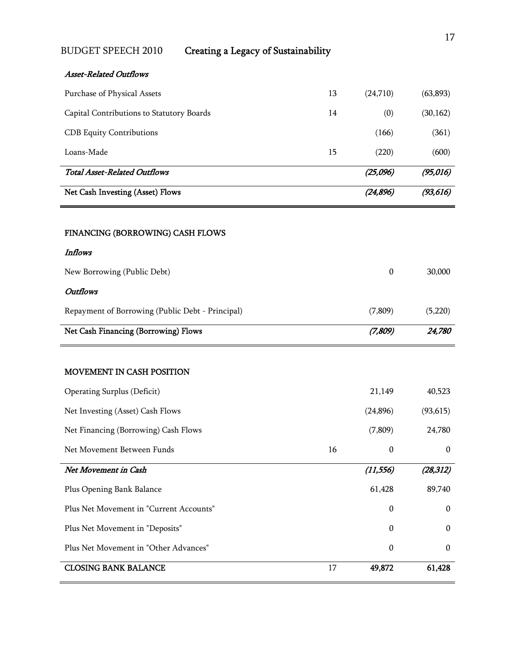| <b>BUDGET SPEECH 2010</b><br><b>Creating a Legacy of Sustainability</b> |    |                  |           |
|-------------------------------------------------------------------------|----|------------------|-----------|
| <b>Asset-Related Outflows</b>                                           |    |                  |           |
| Purchase of Physical Assets                                             | 13 | (24,710)         | (63, 893) |
| Capital Contributions to Statutory Boards                               | 14 | (0)              | (30, 162) |
| <b>CDB</b> Equity Contributions                                         |    | (166)            | (361)     |
| Loans-Made                                                              | 15 | (220)            | (600)     |
| <b>Total Asset-Related Outflows</b>                                     |    | (25,096)         | (95, 016) |
| Net Cash Investing (Asset) Flows                                        |    | (24, 896)        | (93, 616) |
| FINANCING (BORROWING) CASH FLOWS<br><b>Inflows</b>                      |    |                  |           |
| New Borrowing (Public Debt)                                             |    | $\boldsymbol{0}$ | 30,000    |
| <b>Outflows</b>                                                         |    |                  |           |
| Repayment of Borrowing (Public Debt - Principal)                        |    | (7,809)          | (5,220)   |
| Net Cash Financing (Borrowing) Flows                                    |    | (7,809)          | 24,780    |
| MOVEMENT IN CASH POSITION                                               |    |                  |           |
| <b>Operating Surplus (Deficit)</b>                                      |    | 21,149           | 40,523    |
| Net Investing (Asset) Cash Flows                                        |    | (24, 896)        | (93, 615) |
| Net Financing (Borrowing) Cash Flows                                    |    | (7, 809)         | 24,780    |
| Net Movement Between Funds                                              | 16 | $\boldsymbol{0}$ | $\bf{0}$  |
| Net Movement in Cash                                                    |    | (11, 556)        | (28, 312) |
| Plus Opening Bank Balance                                               |    | 61,428           | 89,740    |
| Plus Net Movement in "Current Accounts"                                 |    | $\boldsymbol{0}$ | $\bf{0}$  |
| Plus Net Movement in "Deposits"                                         |    | $\mathbf{0}$     | $\bf{0}$  |
| Plus Net Movement in "Other Advances"                                   |    | $\boldsymbol{0}$ | $\bf{0}$  |
| <b>CLOSING BANK BALANCE</b>                                             | 17 | 49,872           | 61,428    |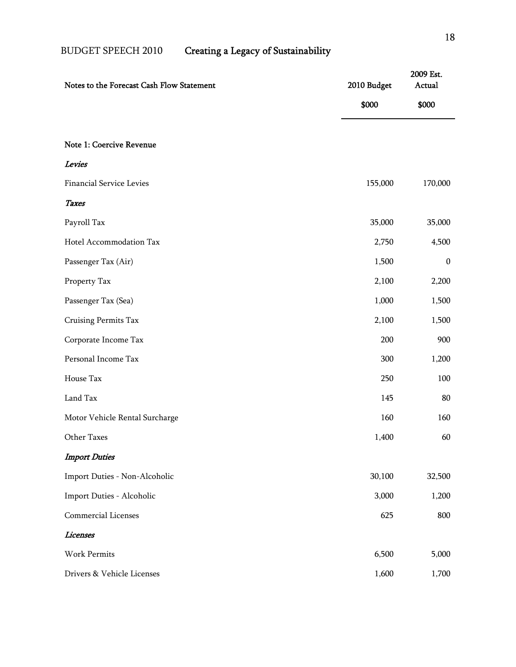| Notes to the Forecast Cash Flow Statement | 2010 Budget | 2009 Est.<br>Actual |
|-------------------------------------------|-------------|---------------------|
|                                           | \$000       | \$000               |
|                                           |             |                     |
| Note 1: Coercive Revenue                  |             |                     |
| Levies                                    |             |                     |
| <b>Financial Service Levies</b>           | 155,000     | 170,000             |
| <b>Taxes</b>                              |             |                     |
| Payroll Tax                               | 35,000      | 35,000              |
| Hotel Accommodation Tax                   | 2,750       | 4,500               |
| Passenger Tax (Air)                       | 1,500       | $\bf{0}$            |
| Property Tax                              | 2,100       | 2,200               |
| Passenger Tax (Sea)                       | 1,000       | 1,500               |
| Cruising Permits Tax                      | 2,100       | 1,500               |
| Corporate Income Tax                      | 200         | 900                 |
| Personal Income Tax                       | 300         | 1,200               |
| House Tax                                 | 250         | 100                 |
| Land Tax                                  | 145         | 80                  |
| Motor Vehicle Rental Surcharge            | 160         | 160                 |
| Other Taxes                               | 1,400       | 60                  |
| <b>Import Duties</b>                      |             |                     |
| Import Duties - Non-Alcoholic             | 30,100      | 32,500              |
| Import Duties - Alcoholic                 | 3,000       | 1,200               |
| Commercial Licenses                       | 625         | 800                 |
| Licenses                                  |             |                     |
| Work Permits                              | 6,500       | 5,000               |
| Drivers & Vehicle Licenses                | 1,600       | 1,700               |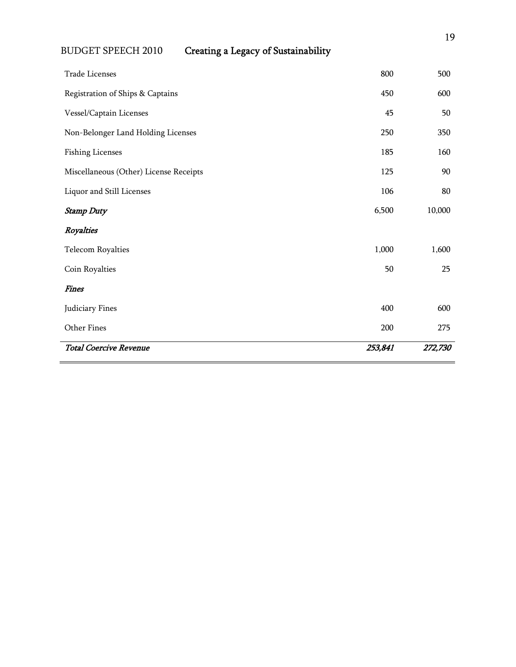| Trade Licenses                         | 800     | 500     |
|----------------------------------------|---------|---------|
| Registration of Ships & Captains       | 450     | 600     |
| Vessel/Captain Licenses                | 45      | 50      |
| Non-Belonger Land Holding Licenses     | 250     | 350     |
| <b>Fishing Licenses</b>                | 185     | 160     |
| Miscellaneous (Other) License Receipts | 125     | 90      |
| Liquor and Still Licenses              | 106     | 80      |
| <b>Stamp Duty</b>                      | 6,500   | 10,000  |
| Royalties                              |         |         |
| <b>Telecom Royalties</b>               | 1,000   | 1,600   |
| Coin Royalties                         | 50      | 25      |
| <b>Fines</b>                           |         |         |
| Judiciary Fines                        | 400     | 600     |
| Other Fines                            | 200     | 275     |
| <b>Total Coercive Revenue</b>          | 253,841 | 272,730 |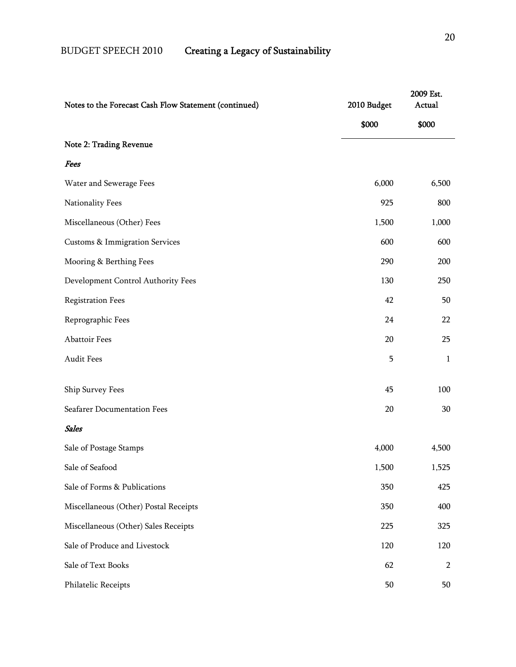| Notes to the Forecast Cash Flow Statement (continued) | 2010 Budget | 2009 Est.<br>Actual |
|-------------------------------------------------------|-------------|---------------------|
|                                                       | \$000       | \$000               |
| Note 2: Trading Revenue                               |             |                     |
| Fees                                                  |             |                     |
| Water and Sewerage Fees                               | 6,000       | 6,500               |
| Nationality Fees                                      | 925         | 800                 |
| Miscellaneous (Other) Fees                            | 1,500       | 1,000               |
| <b>Customs &amp; Immigration Services</b>             | 600         | 600                 |
| Mooring & Berthing Fees                               | 290         | 200                 |
| Development Control Authority Fees                    | 130         | 250                 |
| <b>Registration Fees</b>                              | 42          | 50                  |
| Reprographic Fees                                     | 24          | 22                  |
| Abattoir Fees                                         | 20          | 25                  |
| Audit Fees                                            | 5           | $\mathbf{1}$        |
| Ship Survey Fees                                      | 45          | 100                 |
| Seafarer Documentation Fees                           | 20          | 30                  |
| <b>Sales</b>                                          |             |                     |
| Sale of Postage Stamps                                | 4,000       | 4,500               |
| Sale of Seafood                                       | 1,500       | 1,525               |
| Sale of Forms & Publications                          | 350         | 425                 |
| Miscellaneous (Other) Postal Receipts                 | 350         | 400                 |
| Miscellaneous (Other) Sales Receipts                  | 225         | 325                 |
| Sale of Produce and Livestock                         | 120         | 120                 |
| Sale of Text Books                                    | 62          | $\overline{2}$      |
| Philatelic Receipts                                   | 50          | 50                  |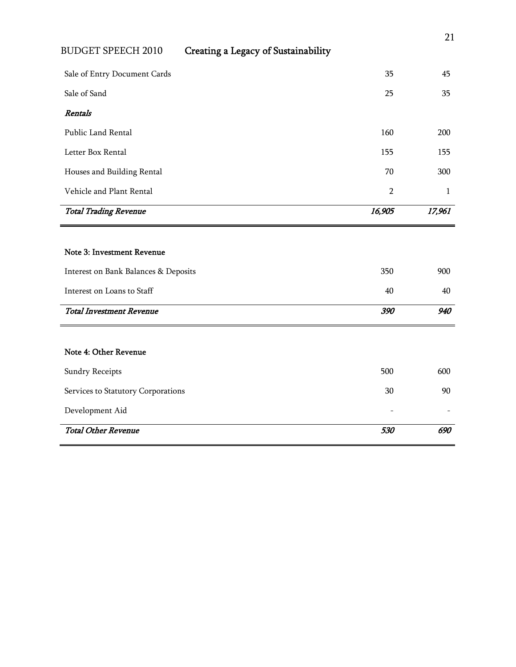| Sale of Entry Document Cards         | 35             | 45     |
|--------------------------------------|----------------|--------|
| Sale of Sand                         | 25             | 35     |
| <b>Rentals</b>                       |                |        |
| Public Land Rental                   | 160            | 200    |
| Letter Box Rental                    | 155            | 155    |
| Houses and Building Rental           | 70             | 300    |
| Vehicle and Plant Rental             | $\overline{2}$ | 1      |
| <b>Total Trading Revenue</b>         | 16,905         | 17,961 |
|                                      |                |        |
| <b>Note 3: Investment Revenue</b>    |                |        |
| Interest on Bank Balances & Deposits | 350            | 900    |
| Interest on Loans to Staff           | 40             | 40     |
| <b>Total Investment Revenue</b>      | 390            | 940    |
|                                      |                |        |
| Note 4: Other Revenue                |                |        |
| <b>Sundry Receipts</b>               | 500            | 600    |
|                                      |                |        |
| Services to Statutory Corporations   | 30             | 90     |

**Total Other Revenue** 690 690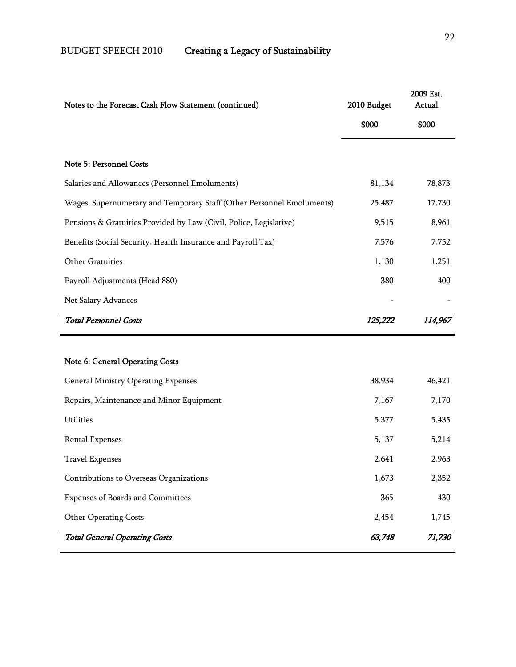| Notes to the Forecast Cash Flow Statement (continued)                 | 2010 Budget | 2009 Est.<br>Actual |
|-----------------------------------------------------------------------|-------------|---------------------|
|                                                                       | \$000       | \$000               |
| Note 5: Personnel Costs                                               |             |                     |
| Salaries and Allowances (Personnel Emoluments)                        | 81,134      | 78,873              |
| Wages, Supernumerary and Temporary Staff (Other Personnel Emoluments) | 25,487      | 17,730              |
| Pensions & Gratuities Provided by Law (Civil, Police, Legislative)    | 9,515       | 8,961               |
| Benefits (Social Security, Health Insurance and Payroll Tax)          | 7,576       | 7,752               |
| Other Gratuities                                                      | 1,130       | 1,251               |
| Payroll Adjustments (Head 880)                                        | 380         | 400                 |
| Net Salary Advances                                                   |             |                     |
| <b>Total Personnel Costs</b>                                          | 125,222     | 114,967             |
| Note 6: General Operating Costs                                       |             |                     |
| <b>General Ministry Operating Expenses</b>                            | 38,934      | 46,421              |
| Repairs, Maintenance and Minor Equipment                              | 7,167       | 7,170               |
| <b>Utilities</b>                                                      | 5,377       | 5,435               |
| <b>Rental Expenses</b>                                                | 5,137       | 5,214               |
| <b>Travel Expenses</b>                                                | 2,641       | 2,963               |
| Contributions to Overseas Organizations                               | 1,673       | 2,352               |
| Expenses of Boards and Committees                                     | 365         | 430                 |
| <b>Other Operating Costs</b>                                          | 2,454       | 1,745               |
| <b>Total General Operating Costs</b>                                  | 63,748      | 71,730              |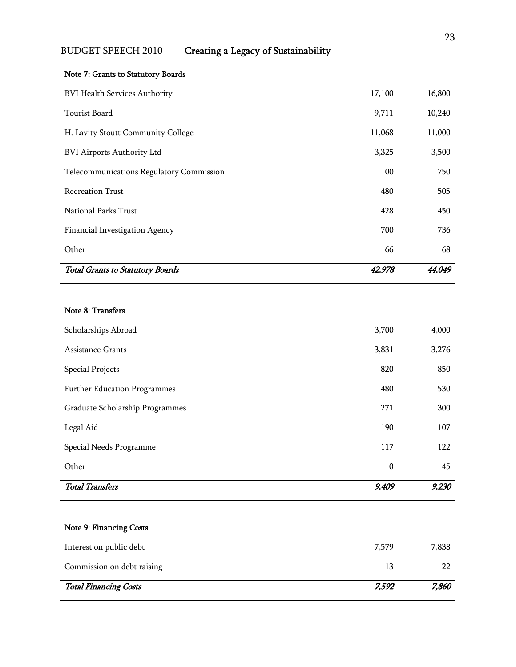#### Note 7: Grants to Statutory Boards

| <b>Total Grants to Statutory Boards</b>  | 42,978 | 44,049 |
|------------------------------------------|--------|--------|
| Other                                    | 66     | 68     |
| Financial Investigation Agency           | 700    | 736    |
| National Parks Trust                     | 428    | 450    |
| <b>Recreation Trust</b>                  | 480    | 505    |
| Telecommunications Regulatory Commission | 100    | 750    |
| <b>BVI Airports Authority Ltd</b>        | 3,325  | 3,500  |
| H. Lavity Stoutt Community College       | 11,068 | 11,000 |
| Tourist Board                            | 9,711  | 10,240 |
| <b>BVI Health Services Authority</b>     | 17,100 | 16,800 |

#### Note 8: Transfers

| <b>Total Transfers</b>              | 9,409            | 9,230 |
|-------------------------------------|------------------|-------|
| Other                               | $\boldsymbol{0}$ | 45    |
| Special Needs Programme             | 117              | 122   |
| Legal Aid                           | 190              | 107   |
| Graduate Scholarship Programmes     | 271              | 300   |
| <b>Further Education Programmes</b> | 480              | 530   |
| <b>Special Projects</b>             | 820              | 850   |
| <b>Assistance Grants</b>            | 3,831            | 3,276 |
| Scholarships Abroad                 | 3,700            | 4,000 |

# Interest on public debt 7,579 7,838 Commission on debt raising 13 22 Total Financing Costs 7,592 7,860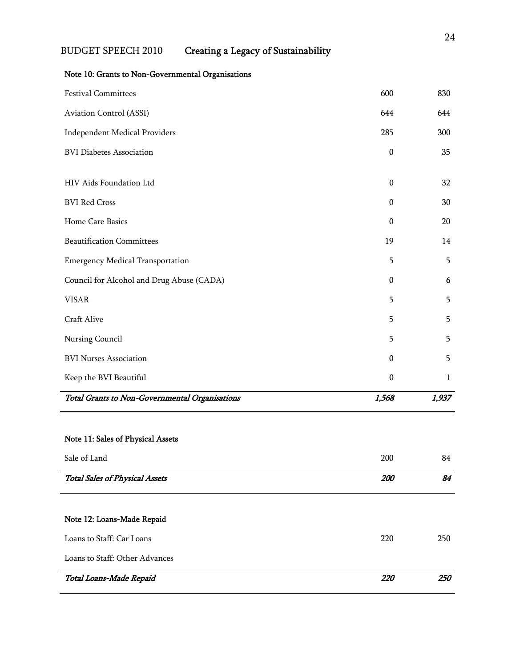| <b>Festival Committees</b>                     | 600              | 830   |
|------------------------------------------------|------------------|-------|
| Aviation Control (ASSI)                        | 644              | 644   |
| <b>Independent Medical Providers</b>           | 285              | 300   |
| <b>BVI Diabetes Association</b>                | $\boldsymbol{0}$ | 35    |
| HIV Aids Foundation Ltd                        | $\boldsymbol{0}$ | 32    |
| <b>BVI Red Cross</b>                           | $\boldsymbol{0}$ | 30    |
| Home Care Basics                               | $\mathbf{0}$     | 20    |
| <b>Beautification Committees</b>               | 19               | 14    |
| <b>Emergency Medical Transportation</b>        | 5                | 5     |
| Council for Alcohol and Drug Abuse (CADA)      | $\boldsymbol{0}$ | 6     |
| <b>VISAR</b>                                   | 5                | 5     |
| Craft Alive                                    | 5                | 5     |
| Nursing Council                                | 5                | 5     |
| <b>BVI Nurses Association</b>                  | $\boldsymbol{0}$ | 5     |
| Keep the BVI Beautiful                         | $\boldsymbol{0}$ | 1     |
| Total Grants to Non-Governmental Organisations | 1,568            | 1,937 |

#### Note 10: Grants to Non-Governmental Organisations

# Note 11: Sales of Physical Assets

| Sale of Land                          | 200        | 84  |
|---------------------------------------|------------|-----|
| <b>Total Sales of Physical Assets</b> | 200        | 84  |
|                                       |            |     |
| Note 12: Loans-Made Repaid            |            |     |
| Loans to Staff: Car Loans             | 220        | 250 |
| Loans to Staff: Other Advances        |            |     |
| Total Loans-Made Repaid               | <i>220</i> | 250 |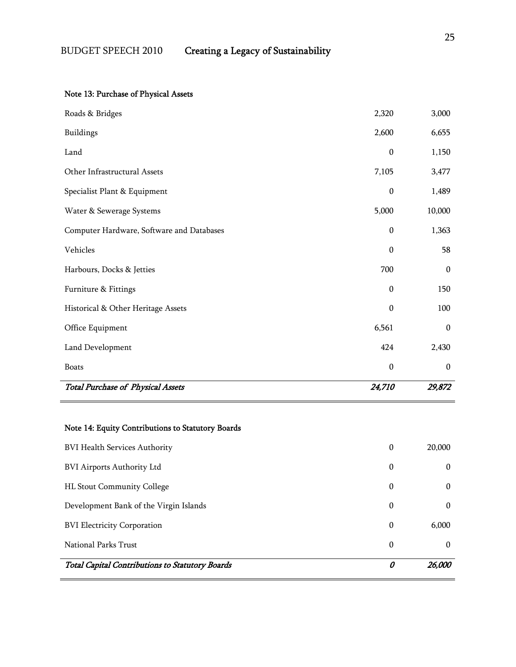# Note 13: Purchase of Physical Assets

| <b>Total Purchase of Physical Assets</b>  | 24,710           | 29,872           |
|-------------------------------------------|------------------|------------------|
| <b>Boats</b>                              | $\boldsymbol{0}$ | $\boldsymbol{0}$ |
| Land Development                          | 424              | 2,430            |
| Office Equipment                          | 6,561            | $\boldsymbol{0}$ |
| Historical & Other Heritage Assets        | $\mathbf 0$      | 100              |
| Furniture & Fittings                      | $\boldsymbol{0}$ | 150              |
| Harbours, Docks & Jetties                 | 700              | $\boldsymbol{0}$ |
| Vehicles                                  | $\boldsymbol{0}$ | 58               |
| Computer Hardware, Software and Databases | $\boldsymbol{0}$ | 1,363            |
| Water & Sewerage Systems                  | 5,000            | 10,000           |
| Specialist Plant & Equipment              | $\boldsymbol{0}$ | 1,489            |
| Other Infrastructural Assets              | 7,105            | 3,477            |
| Land                                      | $\boldsymbol{0}$ | 1,150            |
| <b>Buildings</b>                          | 2,600            | 6,655            |
| Roads & Bridges                           | 2,320            | 3,000            |

| <b>Total Capital Contributions to Statutory Boards</b> | 0 | 26,000   |
|--------------------------------------------------------|---|----------|
| National Parks Trust                                   | 0 | $\Omega$ |
| <b>BVI Electricity Corporation</b>                     | 0 | 6,000    |
| Development Bank of the Virgin Islands                 | 0 | 0        |
| <b>HL Stout Community College</b>                      | 0 | $\Omega$ |
| <b>BVI Airports Authority Ltd</b>                      | 0 | $\Omega$ |
| <b>BVI Health Services Authority</b>                   | 0 | 20,000   |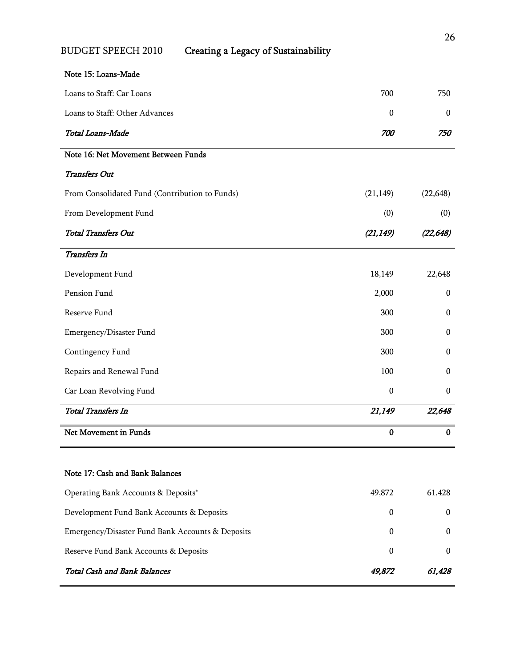#### Note 15: Loans-Made

| Loans to Staff: Car Loans                        | 700              | 750              |
|--------------------------------------------------|------------------|------------------|
| Loans to Staff: Other Advances                   | $\boldsymbol{0}$ | $\mathbf{0}$     |
| Total Loans-Made                                 | 700              | 750              |
| Note 16: Net Movement Between Funds              |                  |                  |
| <b>Transfers Out</b>                             |                  |                  |
| From Consolidated Fund (Contribution to Funds)   | (21, 149)        | (22, 648)        |
| From Development Fund                            | (0)              | (0)              |
| <b>Total Transfers Out</b>                       | (21, 149)        | (22, 648)        |
| <b>Transfers In</b>                              |                  |                  |
| Development Fund                                 | 18,149           | 22,648           |
| Pension Fund                                     | 2,000            | $\boldsymbol{0}$ |
| Reserve Fund                                     | 300              | $\boldsymbol{0}$ |
| Emergency/Disaster Fund                          | 300              | $\boldsymbol{0}$ |
| Contingency Fund                                 | 300              | $\boldsymbol{0}$ |
| Repairs and Renewal Fund                         | 100              | $\mathbf{0}$     |
| Car Loan Revolving Fund                          | $\boldsymbol{0}$ | $\mathbf{0}$     |
| <b>Total Transfers In</b>                        | 21,149           | 22,648           |
| Net Movement in Funds                            | $\bf{0}$         | $\bf{0}$         |
| Note 17: Cash and Bank Balances                  |                  |                  |
| Operating Bank Accounts & Deposits*              | 49,872           | 61,428           |
| Development Fund Bank Accounts & Deposits        | $\mathbf{0}$     | $\mathbf{0}$     |
| Emergency/Disaster Fund Bank Accounts & Deposits | $\mathbf{0}$     | $\boldsymbol{0}$ |
| Reserve Fund Bank Accounts & Deposits            | $\boldsymbol{0}$ | $\boldsymbol{0}$ |
| <b>Total Cash and Bank Balances</b>              | 49,872           | 61,428           |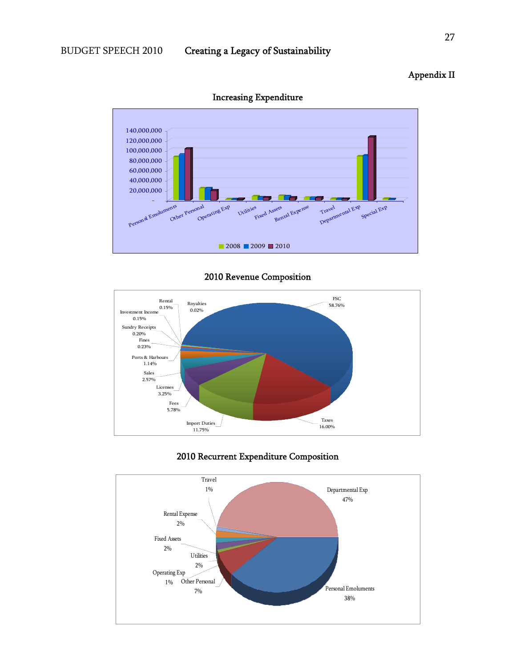#### $\overline{a}$  $\overline{a}$ s<br>Fixed Assets j - 20,000,000 40,000,000 60,000,000 80,000,000 100,000,000 120,000,000 140,000,000 Personal Emoluments Other Personal Operating Exp Utilities Rental Expens Travel Departmental Exp Special Exp  $2008$  2009 2010



#### 2010 Revenue Composition



#### 2010 Recurrent Expenditure Composition



#### Appendix II